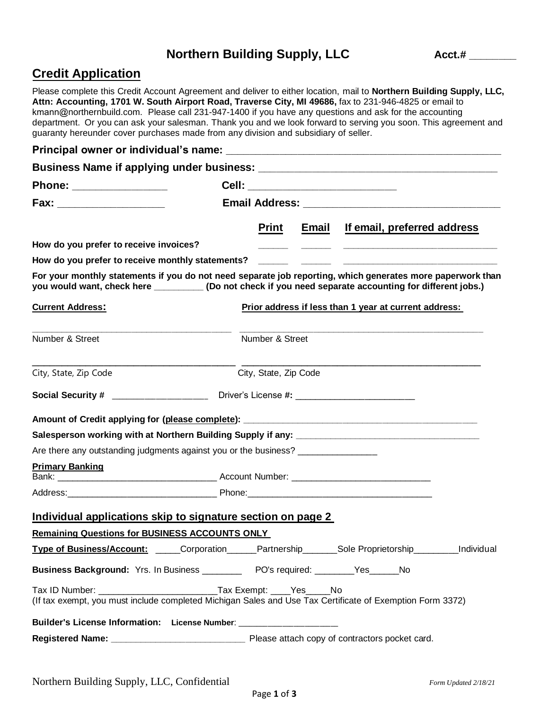# Northern Building Supply, LLC Acct.#

## **Credit Application**

Please complete this Credit Account Agreement and deliver to either location, mail to **Northern Building Supply, LLC, Attn: Accounting, 1701 W. South Airport Road, Traverse City, MI 49686,** fax to 231-946-4825 or email to kmann@northernbuild.com. Please call 231-947-1400 if you have any questions and ask for the accounting department. Or you can ask your salesman. Thank you and we look forward to serving you soon. This agreement and guaranty hereunder cover purchases made from any division and subsidiary of seller.

| Phone: _________________                                                                                                                                                                                              |  | Cell: ________________________                        |       |  |                             |  |
|-----------------------------------------------------------------------------------------------------------------------------------------------------------------------------------------------------------------------|--|-------------------------------------------------------|-------|--|-----------------------------|--|
| Fax: ____________________                                                                                                                                                                                             |  |                                                       |       |  |                             |  |
|                                                                                                                                                                                                                       |  | <b>Print</b>                                          | Email |  | If email, preferred address |  |
| How do you prefer to receive invoices?                                                                                                                                                                                |  |                                                       |       |  |                             |  |
|                                                                                                                                                                                                                       |  |                                                       |       |  |                             |  |
| For your monthly statements if you do not need separate job reporting, which generates more paperwork than<br>you would want, check here __________(Do not check if you need separate accounting for different jobs.) |  |                                                       |       |  |                             |  |
| <b>Current Address:</b>                                                                                                                                                                                               |  | Prior address if less than 1 year at current address: |       |  |                             |  |
| Number & Street                                                                                                                                                                                                       |  | Number & Street                                       |       |  |                             |  |
| City, State, Zip Code                                                                                                                                                                                                 |  | City, State, Zip Code                                 |       |  |                             |  |
|                                                                                                                                                                                                                       |  |                                                       |       |  |                             |  |
|                                                                                                                                                                                                                       |  |                                                       |       |  |                             |  |
|                                                                                                                                                                                                                       |  |                                                       |       |  |                             |  |
| Are there any outstanding judgments against you or the business? _______________                                                                                                                                      |  |                                                       |       |  |                             |  |
| <b>Primary Banking</b>                                                                                                                                                                                                |  |                                                       |       |  |                             |  |
|                                                                                                                                                                                                                       |  |                                                       |       |  |                             |  |
| Individual applications skip to signature section on page 2                                                                                                                                                           |  |                                                       |       |  |                             |  |
| <b>Remaining Questions for BUSINESS ACCOUNTS ONLY</b>                                                                                                                                                                 |  |                                                       |       |  |                             |  |
| Type of Business/Account: ______Corporation______Partnership_______Sole Proprietorship_________Individual                                                                                                             |  |                                                       |       |  |                             |  |
| Business Background: Yrs. In Business ___________ PO's required: ________Yes_____No                                                                                                                                   |  |                                                       |       |  |                             |  |
| Tax ID Number: _________________________________Tax Exempt: _____Yes_____No<br>(If tax exempt, you must include completed Michigan Sales and Use Tax Certificate of Exemption Form 3372)                              |  |                                                       |       |  |                             |  |
| Builder's License Information: License Number: ___________________                                                                                                                                                    |  |                                                       |       |  |                             |  |
|                                                                                                                                                                                                                       |  |                                                       |       |  |                             |  |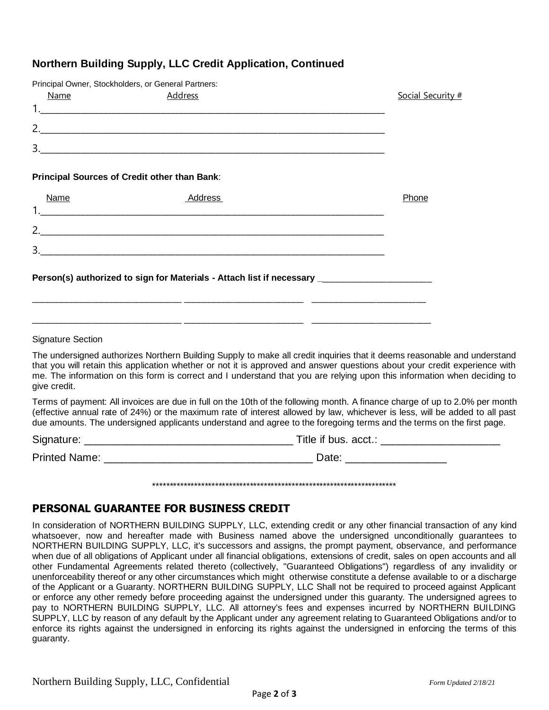### **Northern Building Supply, LLC Credit Application, Continued**

|             | Principal Owner, Stockholders, or General Partners:                                                 |                   |
|-------------|-----------------------------------------------------------------------------------------------------|-------------------|
| <b>Name</b> | <b>Address</b>                                                                                      | Social Security # |
|             |                                                                                                     |                   |
|             |                                                                                                     |                   |
|             |                                                                                                     |                   |
|             | Principal Sources of Credit other than Bank:                                                        |                   |
| Name        | Address                                                                                             | Phone             |
|             |                                                                                                     |                   |
|             |                                                                                                     |                   |
|             |                                                                                                     |                   |
|             | Person(s) authorized to sign for Materials - Attach list if necessary _____________________________ |                   |
|             |                                                                                                     |                   |

#### Signature Section

The undersigned authorizes Northern Building Supply to make all credit inquiries that it deems reasonable and understand that you will retain this application whether or not it is approved and answer questions about your credit experience with me. The information on this form is correct and I understand that you are relying upon this information when deciding to give credit.

Terms of payment: All invoices are due in full on the 10th of the following month. A finance charge of up to 2.0% per month (effective annual rate of 24%) or the maximum rate of interest allowed by law, whichever is less, will be added to all past due amounts. The undersigned applicants understand and agree to the foregoing terms and the terms on the first page.

\*\*\*\*\*\*\*\*\*\*\*\*\*\*\*\*\*\*\*\*\*\*\*\*\*\*\*\*\*\*\*\*\*\*\*\*\*\*\*\*\*\*\*\*\*\*\*\*\*\*\*\*\*\*\*\*\*\*\*\*\*\*\*\*\*\*\*\*\*\*

| Signature:           | Title if bus. acct.: |
|----------------------|----------------------|
| <b>Printed Name:</b> | Date:                |

# **PERSONAL GUARANTEE FOR BUSINESS CREDIT**

In consideration of NORTHERN BUILDING SUPPLY, LLC, extending credit or any other financial transaction of any kind whatsoever, now and hereafter made with Business named above the undersigned unconditionally guarantees to NORTHERN BUILDING SUPPLY, LLC, it's successors and assigns, the prompt payment, observance, and performance when due of all obligations of Applicant under all financial obligations, extensions of credit, sales on open accounts and all other Fundamental Agreements related thereto (collectively, "Guaranteed Obligations") regardless of any invalidity or unenforceability thereof or any other circumstances which might otherwise constitute a defense available to or a discharge of the Applicant or a Guaranty. NORTHERN BUILDING SUPPLY, LLC Shall not be required to proceed against Applicant or enforce any other remedy before proceeding against the undersigned under this guaranty. The undersigned agrees to pay to NORTHERN BUILDING SUPPLY, LLC. All attorney's fees and expenses incurred by NORTHERN BUILDING SUPPLY, LLC by reason of any default by the Applicant under any agreement relating to Guaranteed Obligations and/or to enforce its rights against the undersigned in enforcing its rights against the undersigned in enforcing the terms of this guaranty.